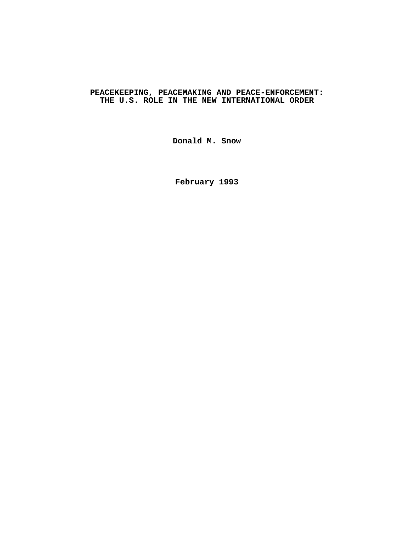# **PEACEKEEPING, PEACEMAKING AND PEACE-ENFORCEMENT: THE U.S. ROLE IN THE NEW INTERNATIONAL ORDER**

**Donald M. Snow**

**February 1993**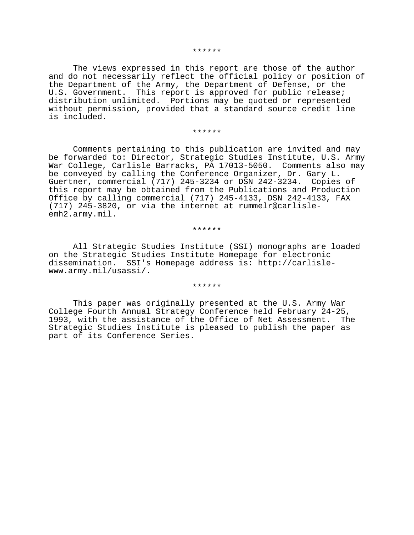#### \*\*\*\*\*\*

The views expressed in this report are those of the author and do not necessarily reflect the official policy or position of the Department of the Army, the Department of Defense, or the U.S. Government. This report is approved for public release; distribution unlimited. Portions may be quoted or represented without permission, provided that a standard source credit line is included.

#### \*\*\*\*\*\*

Comments pertaining to this publication are invited and may be forwarded to: Director, Strategic Studies Institute, U.S. Army War College, Carlisle Barracks, PA 17013-5050. Comments also may be conveyed by calling the Conference Organizer, Dr. Gary L. Guertner, commercial (717) 245-3234 or DSN 242-3234. Copies of this report may be obtained from the Publications and Production Office by calling commercial (717) 245-4133, DSN 242-4133, FAX (717) 245-3820, or via the internet at rummelr@carlisleemh2.army.mil.

#### \*\*\*\*\*\*

All Strategic Studies Institute (SSI) monographs are loaded on the Strategic Studies Institute Homepage for electronic dissemination. SSI's Homepage address is: http://carlislewww.army.mil/usassi/.

#### \*\*\*\*\*\*

This paper was originally presented at the U.S. Army War College Fourth Annual Strategy Conference held February 24-25, 1993, with the assistance of the Office of Net Assessment. The Strategic Studies Institute is pleased to publish the paper as part of its Conference Series.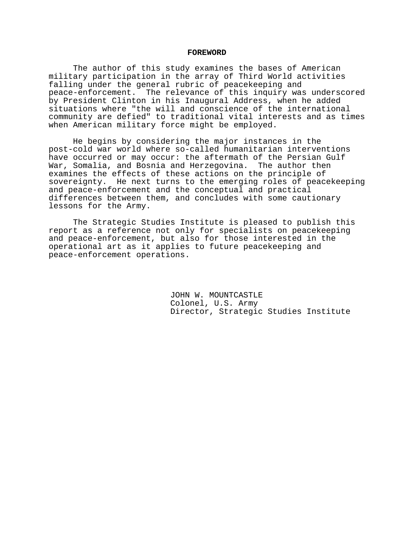### **FOREWORD**

The author of this study examines the bases of American military participation in the array of Third World activities falling under the general rubric of peacekeeping and peace-enforcement. The relevance of this inquiry was underscored by President Clinton in his Inaugural Address, when he added situations where "the will and conscience of the international community are defied" to traditional vital interests and as times when American military force might be employed.

He begins by considering the major instances in the post-cold war world where so-called humanitarian interventions have occurred or may occur: the aftermath of the Persian Gulf War, Somalia, and Bosnia and Herzegovina. The author then examines the effects of these actions on the principle of sovereignty. He next turns to the emerging roles of peacekeeping and peace-enforcement and the conceptual and practical differences between them, and concludes with some cautionary lessons for the Army.

The Strategic Studies Institute is pleased to publish this report as a reference not only for specialists on peacekeeping and peace-enforcement, but also for those interested in the operational art as it applies to future peacekeeping and peace-enforcement operations.

> JOHN W. MOUNTCASTLE Colonel, U.S. Army Director, Strategic Studies Institute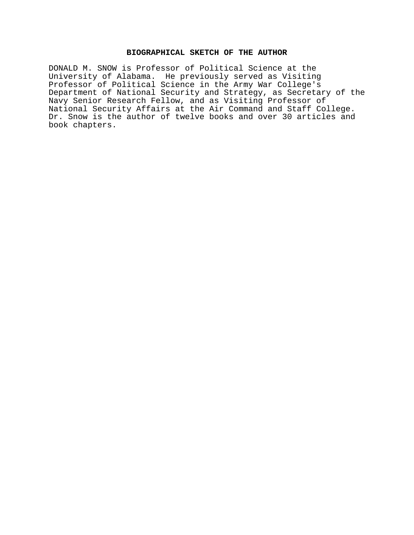## **BIOGRAPHICAL SKETCH OF THE AUTHOR**

DONALD M. SNOW is Professor of Political Science at the University of Alabama. He previously served as Visiting Professor of Political Science in the Army War College's Department of National Security and Strategy, as Secretary of the Navy Senior Research Fellow, and as Visiting Professor of National Security Affairs at the Air Command and Staff College. Dr. Snow is the author of twelve books and over 30 articles and book chapters.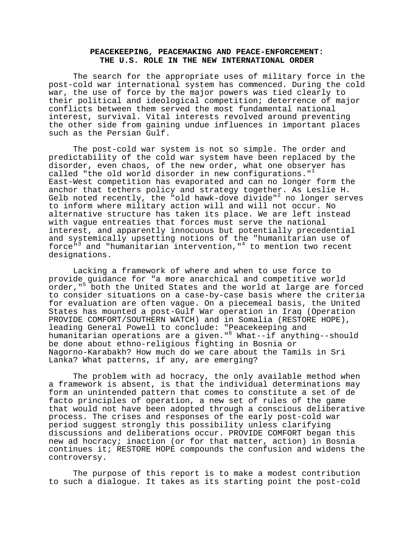## **PEACEKEEPING, PEACEMAKING AND PEACE-ENFORCEMENT: THE U.S. ROLE IN THE NEW INTERNATIONAL ORDER**

The search for the appropriate uses of military force in the post-cold war international system has commenced. During the cold war, the use of force by the major powers was tied clearly to their political and ideological competition; deterrence of major conflicts between them served the most fundamental national interest, survival. Vital interests revolved around preventing the other side from gaining undue influences in important places such as the Persian Gulf.

The post-cold war system is not so simple. The order and predictability of the cold war system have been replaced by the disorder, even chaos, of the new order, what one observer has called "the old world disorder in new configurations."<sup>1</sup> East-West competition has evaporated and can no longer form the anchor that tethers policy and strategy together. As Leslie H. Gelb noted recently, the "old hawk-dove divide"<sup>2</sup> no longer serves to inform where military action will and will not occur. No alternative structure has taken its place. We are left instead with vague entreaties that forces must serve the national interest, and apparently innocuous but potentially precedential and systemically upsetting notions of the "humanitarian use of force"<sup>3</sup> and "humanitarian intervention,"<sup>4</sup> to mention two recent designations.

Lacking a framework of where and when to use force to provide guidance for "a more anarchical and competitive world .<br>order,"<sup>5</sup> both the United States and the world at large are forced to consider situations on a case-by-case basis where the criteria for evaluation are often vague. On a piecemeal basis, the United States has mounted a post-Gulf War operation in Iraq (Operation PROVIDE COMFORT/SOUTHERN WATCH) and in Somalia (RESTORE HOPE), leading General Powell to conclude: "Peacekeeping and humanitarian operations are a given."<sup>6</sup> What--if anything--should be done about ethno-religious fighting in Bosnia or Nagorno-Karabakh? How much do we care about the Tamils in Sri Lanka? What patterns, if any, are emerging?

The problem with ad hocracy, the only available method when a framework is absent, is that the individual determinations may form an unintended pattern that comes to constitute a set of de facto principles of operation, a new set of rules of the game that would not have been adopted through a conscious deliberative process. The crises and responses of the early post-cold war period suggest strongly this possibility unless clarifying discussions and deliberations occur. PROVIDE COMFORT began this new ad hocracy; inaction (or for that matter, action) in Bosnia continues it; RESTORE HOPE compounds the confusion and widens the controversy.

The purpose of this report is to make a modest contribution to such a dialogue. It takes as its starting point the post-cold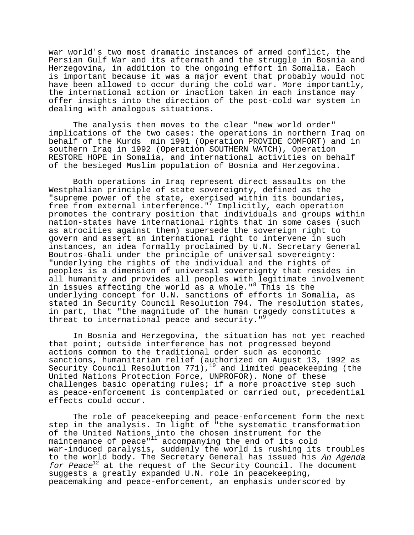war world's two most dramatic instances of armed conflict, the Persian Gulf War and its aftermath and the struggle in Bosnia and Herzegovina, in addition to the ongoing effort in Somalia. Each is important because it was a major event that probably would not have been allowed to occur during the cold war. More importantly, the international action or inaction taken in each instance may offer insights into the direction of the post-cold war system in dealing with analogous situations.

The analysis then moves to the clear "new world order" implications of the two cases: the operations in northern Iraq on behalf of the Kurds min 1991 (Operation PROVIDE COMFORT) and in southern Iraq in 1992 (Operation SOUTHERN WATCH), Operation RESTORE HOPE in Somalia, and international activities on behalf of the besieged Muslim population of Bosnia and Herzegovina.

Both operations in Iraq represent direct assaults on the Westphalian principle of state sovereignty, defined as the "supreme power of the state, exercised within its boundaries, free from external interference."<sup>7</sup> Implicitly, each operation promotes the contrary position that individuals and groups within nation-states have international rights that in some cases (such as atrocities against them) supersede the sovereign right to govern and assert an international right to intervene in such instances, an idea formally proclaimed by U.N. Secretary General Boutros-Ghali under the principle of universal sovereignty: "underlying the rights of the individual and the rights of peoples is a dimension of universal sovereignty that resides in all humanity and provides all peoples with legitimate involvement in issues affecting the world as a whole."<sup>8</sup> This is the underlying concept for U.N. sanctions of efforts in Somalia, as stated in Security Council Resolution 794. The resolution states, in part, that "the magnitude of the human tragedy constitutes a threat to international peace and security."<sup>5</sup>

In Bosnia and Herzegovina, the situation has not yet reached that point; outside interference has not progressed beyond actions common to the traditional order such as economic sanctions, humanitarian relief (authorized on August 13, 1992 as Security Council Resolution  $771)$ ,  $^{10}$  and limited peacekeeping (the United Nations Protection Force, UNPROFOR). None of these challenges basic operating rules; if a more proactive step such as peace-enforcement is contemplated or carried out, precedential effects could occur.

The role of peacekeeping and peace-enforcement form the next step in the analysis. In light of "the systematic transformation of the United Nations into the chosen instrument for the maintenance of peace"<sup>11</sup> accompanying the end of its cold war-induced paralysis, suddenly the world is rushing its troubles to the world body. The Secretary General has issued his An Agenda for Peace<sup>12</sup> at the request of the Security Council. The document suggests a greatly expanded U.N. role in peacekeeping, peacemaking and peace-enforcement, an emphasis underscored by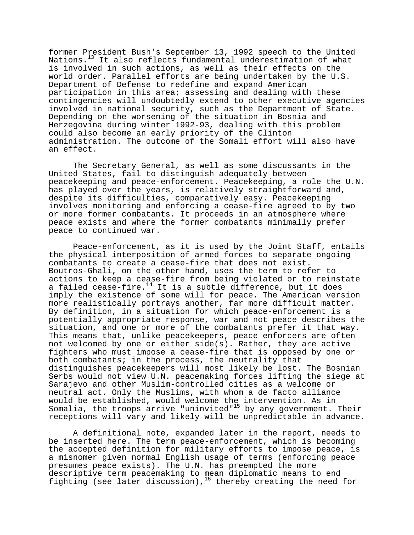former President Bush's September 13, 1992 speech to the United Nations.13 It also reflects fundamental underestimation of what is involved in such actions, as well as their effects on the world order. Parallel efforts are being undertaken by the U.S. Department of Defense to redefine and expand American participation in this area; assessing and dealing with these contingencies will undoubtedly extend to other executive agencies involved in national security, such as the Department of State. Depending on the worsening of the situation in Bosnia and Herzegovina during winter 1992-93, dealing with this problem could also become an early priority of the Clinton administration. The outcome of the Somali effort will also have an effect.

The Secretary General, as well as some discussants in the United States, fail to distinguish adequately between peacekeeping and peace-enforcement. Peacekeeping, a role the U.N. has played over the years, is relatively straightforward and, despite its difficulties, comparatively easy. Peacekeeping involves monitoring and enforcing a cease-fire agreed to by two or more former combatants. It proceeds in an atmosphere where peace exists and where the former combatants minimally prefer peace to continued war.

Peace-enforcement, as it is used by the Joint Staff, entails the physical interposition of armed forces to separate ongoing combatants to create a cease-fire that does not exist. Boutros-Ghali, on the other hand, uses the term to refer to actions to keep a cease-fire from being violated or to reinstate a failed cease-fire.<sup>14</sup> It is a subtle difference, but it does imply the existence of some will for peace. The American version more realistically portrays another, far more difficult matter. By definition, in a situation for which peace-enforcement is a potentially appropriate response, war and not peace describes the situation, and one or more of the combatants prefer it that way. This means that, unlike peacekeepers, peace enforcers are often not welcomed by one or either side(s). Rather, they are active fighters who must impose a cease-fire that is opposed by one or both combatants; in the process, the neutrality that distinguishes peacekeepers will most likely be lost. The Bosnian Serbs would not view U.N. peacemaking forces lifting the siege at Sarajevo and other Muslim-controlled cities as a welcome or neutral act. Only the Muslims, with whom a de facto alliance would be established, would welcome the intervention. As in Somalia, the troops arrive "uninvited" $15$  by any government. Their receptions will vary and likely will be unpredictable in advance.

A definitional note, expanded later in the report, needs to be inserted here. The term peace-enforcement, which is becoming the accepted definition for military efforts to impose peace, is a misnomer given normal English usage of terms (enforcing peace presumes peace exists). The U.N. has preempted the more descriptive term peacemaking to mean diplomatic means to end fighting (see later discussion),<sup>16</sup> thereby creating the need for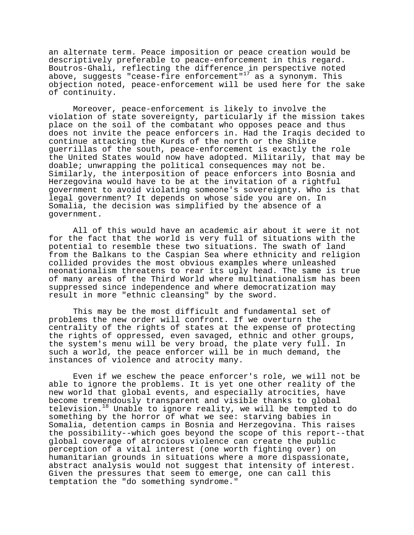an alternate term. Peace imposition or peace creation would be descriptively preferable to peace-enforcement in this regard. Boutros-Ghali, reflecting the difference in perspective noted above, suggests "cease-fire enforcement"<sup>17</sup> as a synonym. This objection noted, peace-enforcement will be used here for the sake of continuity.

Moreover, peace-enforcement is likely to involve the violation of state sovereignty, particularly if the mission takes place on the soil of the combatant who opposes peace and thus does not invite the peace enforcers in. Had the Iraqis decided to continue attacking the Kurds of the north or the Shiite guerrillas of the south, peace-enforcement is exactly the role the United States would now have adopted. Militarily, that may be doable; unwrapping the political consequences may not be. Similarly, the interposition of peace enforcers into Bosnia and Herzegovina would have to be at the invitation of a rightful government to avoid violating someone's sovereignty. Who is that legal government? It depends on whose side you are on. In Somalia, the decision was simplified by the absence of a government.

All of this would have an academic air about it were it not for the fact that the world is very full of situations with the potential to resemble these two situations. The swath of land from the Balkans to the Caspian Sea where ethnicity and religion collided provides the most obvious examples where unleashed neonationalism threatens to rear its ugly head. The same is true of many areas of the Third World where multinationalism has been suppressed since independence and where democratization may result in more "ethnic cleansing" by the sword.

This may be the most difficult and fundamental set of problems the new order will confront. If we overturn the centrality of the rights of states at the expense of protecting the rights of oppressed, even savaged, ethnic and other groups, the system's menu will be very broad, the plate very full. In such a world, the peace enforcer will be in much demand, the instances of violence and atrocity many.

Even if we eschew the peace enforcer's role, we will not be able to ignore the problems. It is yet one other reality of the new world that global events, and especially atrocities, have become tremendously transparent and visible thanks to global television. $18$  Unable to ignore reality, we will be tempted to do something by the horror of what we see: starving babies in Somalia, detention camps in Bosnia and Herzegovina. This raises the possibility--which goes beyond the scope of this report--that global coverage of atrocious violence can create the public perception of a vital interest (one worth fighting over) on humanitarian grounds in situations where a more dispassionate, abstract analysis would not suggest that intensity of interest. Given the pressures that seem to emerge, one can call this temptation the "do something syndrome."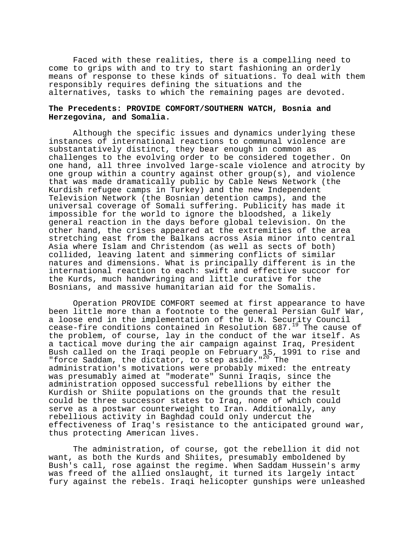Faced with these realities, there is a compelling need to come to grips with and to try to start fashioning an orderly means of response to these kinds of situations. To deal with them responsibly requires defining the situations and the alternatives, tasks to which the remaining pages are devoted.

## **The Precedents: PROVIDE COMFORT/SOUTHERN WATCH, Bosnia and Herzegovina, and Somalia.**

Although the specific issues and dynamics underlying these instances of international reactions to communal violence are substantatively distinct, they bear enough in common as challenges to the evolving order to be considered together. On one hand, all three involved large-scale violence and atrocity by one group within a country against other group(s), and violence that was made dramatically public by Cable News Network (the Kurdish refugee camps in Turkey) and the new Independent Television Network (the Bosnian detention camps), and the universal coverage of Somali suffering. Publicity has made it impossible for the world to ignore the bloodshed, a likely general reaction in the days before global television. On the other hand, the crises appeared at the extremities of the area stretching east from the Balkans across Asia minor into central Asia where Islam and Christendom (as well as sects of both) collided, leaving latent and simmering conflicts of similar natures and dimensions. What is principally different is in the international reaction to each: swift and effective succor for the Kurds, much handwringing and little curative for the Bosnians, and massive humanitarian aid for the Somalis.

Operation PROVIDE COMFORT seemed at first appearance to have been little more than a footnote to the general Persian Gulf War, a loose end in the implementation of the U.N. Security Council cease-fire conditions contained in Resolution  $687.^{19}$  The cause of the problem, of course, lay in the conduct of the war itself. As a tactical move during the air campaign against Iraq, President Bush called on the Iraqi people on February 15, 1991 to rise and "force Saddam, the dictator, to step aside." $^{20}$  The administration's motivations were probably mixed: the entreaty was presumably aimed at "moderate" Sunni Iraqis, since the administration opposed successful rebellions by either the Kurdish or Shiite populations on the grounds that the result could be three successor states to Iraq, none of which could serve as a postwar counterweight to Iran. Additionally, any rebellious activity in Baghdad could only undercut the effectiveness of Iraq's resistance to the anticipated ground war, thus protecting American lives.

The administration, of course, got the rebellion it did not want, as both the Kurds and Shiites, presumably emboldened by Bush's call, rose against the regime. When Saddam Hussein's army was freed of the allied onslaught, it turned its largely intact fury against the rebels. Iraqi helicopter gunships were unleashed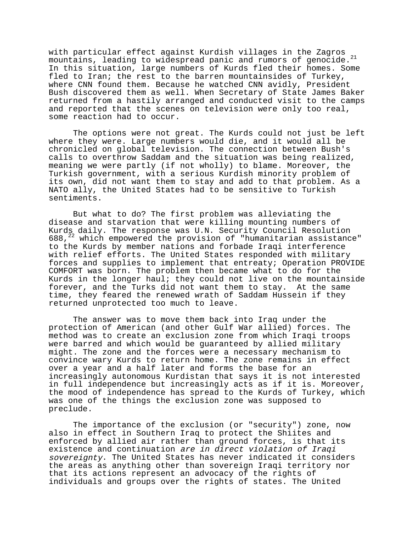with particular effect against Kurdish villages in the Zagros mountains, leading to widespread panic and rumors of genocide.<sup>21</sup> In this situation, large numbers of Kurds fled their homes. Some fled to Iran; the rest to the barren mountainsides of Turkey, where CNN found them. Because he watched CNN avidly, President Bush discovered them as well. When Secretary of State James Baker returned from a hastily arranged and conducted visit to the camps and reported that the scenes on television were only too real, some reaction had to occur.

The options were not great. The Kurds could not just be left where they were. Large numbers would die, and it would all be chronicled on global television. The connection between Bush's calls to overthrow Saddam and the situation was being realized, meaning we were partly (if not wholly) to blame. Moreover, the Turkish government, with a serious Kurdish minority problem of its own, did not want them to stay and add to that problem. As a NATO ally, the United States had to be sensitive to Turkish sentiments.

But what to do? The first problem was alleviating the disease and starvation that were killing mounting numbers of Kurds daily. The response was U.N. Security Council Resolution 688, $22$  which empowered the provision of "humanitarian assistance" to the Kurds by member nations and forbade Iraqi interference with relief efforts. The United States responded with military forces and supplies to implement that entreaty; Operation PROVIDE COMFORT was born. The problem then became what to do for the Kurds in the longer haul; they could not live on the mountainside forever, and the Turks did not want them to stay. At the same time, they feared the renewed wrath of Saddam Hussein if they returned unprotected too much to leave.

The answer was to move them back into Iraq under the protection of American (and other Gulf War allied) forces. The method was to create an exclusion zone from which Iraqi troops were barred and which would be guaranteed by allied military might. The zone and the forces were a necessary mechanism to convince wary Kurds to return home. The zone remains in effect over a year and a half later and forms the base for an increasingly autonomous Kurdistan that says it is not interested in full independence but increasingly acts as if it is. Moreover, the mood of independence has spread to the Kurds of Turkey, which was one of the things the exclusion zone was supposed to preclude.

The importance of the exclusion (or "security") zone, now also in effect in Southern Iraq to protect the Shiites and enforced by allied air rather than ground forces, is that its existence and continuation are in direct violation of Iraqi sovereignty. The United States has never indicated it considers the areas as anything other than sovereign Iraqi territory nor that its actions represent an advocacy of the rights of individuals and groups over the rights of states. The United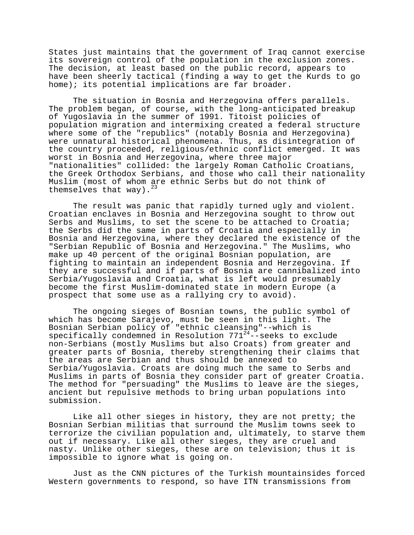States just maintains that the government of Iraq cannot exercise its sovereign control of the population in the exclusion zones. The decision, at least based on the public record, appears to have been sheerly tactical (finding a way to get the Kurds to go home); its potential implications are far broader.

The situation in Bosnia and Herzegovina offers parallels. The problem began, of course, with the long-anticipated breakup of Yugoslavia in the summer of 1991. Titoist policies of population migration and intermixing created a federal structure where some of the "republics" (notably Bosnia and Herzegovina) were unnatural historical phenomena. Thus, as disintegration of the country proceeded, religious/ethnic conflict emerged. It was worst in Bosnia and Herzegovina, where three major "nationalities" collided: the largely Roman Catholic Croatians, the Greek Orthodox Serbians, and those who call their nationality Muslim (most of whom are ethnic Serbs but do not think of themselves that way).

The result was panic that rapidly turned ugly and violent. Croatian enclaves in Bosnia and Herzegovina sought to throw out Serbs and Muslims, to set the scene to be attached to Croatia; the Serbs did the same in parts of Croatia and especially in Bosnia and Herzegovina, where they declared the existence of the "Serbian Republic of Bosnia and Herzegovina." The Muslims, who make up 40 percent of the original Bosnian population, are fighting to maintain an independent Bosnia and Herzegovina. If they are successful and if parts of Bosnia are cannibalized into Serbia/Yugoslavia and Croatia, what is left would presumably become the first Muslim-dominated state in modern Europe (a prospect that some use as a rallying cry to avoid).

The ongoing sieges of Bosnian towns, the public symbol of which has become Sarajevo, must be seen in this light. The Bosnian Serbian policy of "ethnic cleansing"--which is specifically condemned in Resolution 771<sup>24</sup>--seeks to exclude non-Serbians (mostly Muslims but also Croats) from greater and greater parts of Bosnia, thereby strengthening their claims that the areas are Serbian and thus should be annexed to Serbia/Yugoslavia. Croats are doing much the same to Serbs and Muslims in parts of Bosnia they consider part of greater Croatia. The method for "persuading" the Muslims to leave are the sieges, ancient but repulsive methods to bring urban populations into submission.

Like all other sieges in history, they are not pretty; the Bosnian Serbian militias that surround the Muslim towns seek to terrorize the civilian population and, ultimately, to starve them out if necessary. Like all other sieges, they are cruel and nasty. Unlike other sieges, these are on television; thus it is impossible to ignore what is going on.

Just as the CNN pictures of the Turkish mountainsides forced Western governments to respond, so have ITN transmissions from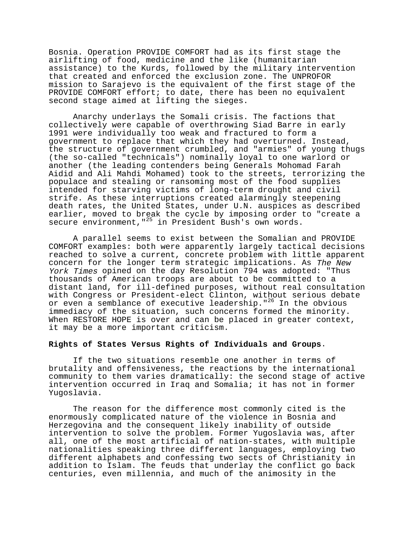Bosnia. Operation PROVIDE COMFORT had as its first stage the airlifting of food, medicine and the like (humanitarian assistance) to the Kurds, followed by the military intervention that created and enforced the exclusion zone. The UNPROFOR mission to Sarajevo is the equivalent of the first stage of the PROVIDE COMFORT effort; to date, there has been no equivalent second stage aimed at lifting the sieges.

Anarchy underlays the Somali crisis. The factions that collectively were capable of overthrowing Siad Barre in early 1991 were individually too weak and fractured to form a government to replace that which they had overturned. Instead, the structure of government crumbled, and "armies" of young thugs (the so-called "technicals") nominally loyal to one warlord or another (the leading contenders being Generals Mohomad Farah Aidid and Ali Mahdi Mohamed) took to the streets, terrorizing the populace and stealing or ransoming most of the food supplies intended for starving victims of long-term drought and civil strife. As these interruptions created alarmingly steepening death rates, the United States, under U.N. auspices as described earlier, moved to break the cycle by imposing order to "create a secure environment, "<sup>25</sup> in President Bush's own words.

A parallel seems to exist between the Somalian and PROVIDE COMFORT examples: both were apparently largely tactical decisions reached to solve a current, concrete problem with little apparent concern for the longer term strategic implications. As The New York Times opined on the day Resolution 794 was adopted: "Thus thousands of American troops are about to be committed to a distant land, for ill-defined purposes, without real consultation with Congress or President-elect Clinton, without serious debate or even a semblance of executive leadership."<sup>26</sup> In the obvious immediacy of the situation, such concerns formed the minority. When RESTORE HOPE is over and can be placed in greater context, it may be a more important criticism.

### **Rights of States Versus Rights of Individuals and Groups**.

If the two situations resemble one another in terms of brutality and offensiveness, the reactions by the international community to them varies dramatically: the second stage of active intervention occurred in Iraq and Somalia; it has not in former Yugoslavia.

The reason for the difference most commonly cited is the enormously complicated nature of the violence in Bosnia and Herzegovina and the consequent likely inability of outside intervention to solve the problem. Former Yugoslavia was, after all, one of the most artificial of nation-states, with multiple nationalities speaking three different languages, employing two different alphabets and confessing two sects of Christianity in addition to Islam. The feuds that underlay the conflict go back centuries, even millennia, and much of the animosity in the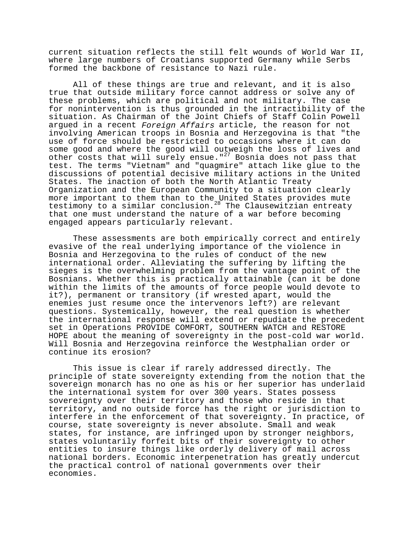current situation reflects the still felt wounds of World War II, where large numbers of Croatians supported Germany while Serbs formed the backbone of resistance to Nazi rule.

All of these things are true and relevant, and it is also true that outside military force cannot address or solve any of these problems, which are political and not military. The case for nonintervention is thus grounded in the intractibility of the situation. As Chairman of the Joint Chiefs of Staff Colin Powell argued in a recent Foreign Affairs article, the reason for not involving American troops in Bosnia and Herzegovina is that "the use of force should be restricted to occasions where it can do some good and where the good will outweigh the loss of lives and other costs that will surely ensue."27 Bosnia does not pass that test. The terms "Vietnam" and "quagmire" attach like glue to the discussions of potential decisive military actions in the United States. The inaction of both the North Atlantic Treaty Organization and the European Community to a situation clearly more important to them than to the United States provides mute testimony to a similar conclusion.<sup>28</sup> The Clausewitzian entreaty that one must understand the nature of a war before becoming engaged appears particularly relevant.

These assessments are both empirically correct and entirely evasive of the real underlying importance of the violence in Bosnia and Herzegovina to the rules of conduct of the new international order. Alleviating the suffering by lifting the sieges is the overwhelming problem from the vantage point of the Bosnians. Whether this is practically attainable (can it be done within the limits of the amounts of force people would devote to it?), permanent or transitory (if wrested apart, would the enemies just resume once the intervenors left?) are relevant questions. Systemically, however, the real question is whether the international response will extend or repudiate the precedent set in Operations PROVIDE COMFORT, SOUTHERN WATCH and RESTORE HOPE about the meaning of sovereignty in the post-cold war world. Will Bosnia and Herzegovina reinforce the Westphalian order or continue its erosion?

This issue is clear if rarely addressed directly. The principle of state sovereignty extending from the notion that the sovereign monarch has no one as his or her superior has underlaid the international system for over 300 years. States possess sovereignty over their territory and those who reside in that territory, and no outside force has the right or jurisdiction to interfere in the enforcement of that sovereignty. In practice, of course, state sovereignty is never absolute. Small and weak states, for instance, are infringed upon by stronger neighbors, states voluntarily forfeit bits of their sovereignty to other entities to insure things like orderly delivery of mail across national borders. Economic interpenetration has greatly undercut the practical control of national governments over their economies.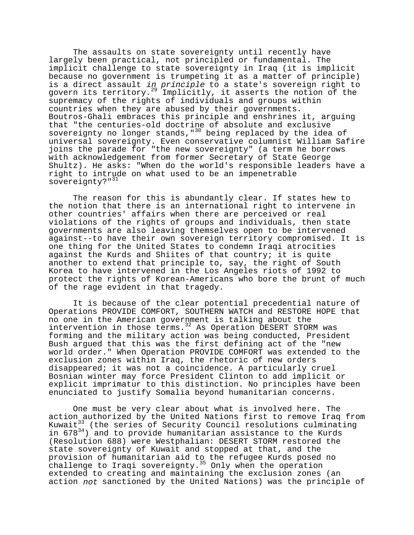The assaults on state sovereignty until recently have largely been practical, not principled or fundamental. The implicit challenge to state sovereignty in Iraq (it is implicit because no government is trumpeting it as a matter of principle) is a direct assault in principle to a state's sovereign right to govern its territory.<sup>29</sup> Implicitly, it asserts the notion of the supremacy of the rights of individuals and groups within countries when they are abused by their governments. Boutros-Ghali embraces this principle and enshrines it, arguing that "the centuries-old doctrine of absolute and exclusive sovereignty no longer stands, "<sup>30</sup> being replaced by the idea of universal sovereignty. Even conservative columnist William Safire joins the parade for "the new sovereignty" (a term he borrows with acknowledgement from former Secretary of State George Shultz). He asks: "When do the world's responsible leaders have a right to intrude on what used to be an impenetrable sovereignty?"<sup>31</sup>

The reason for this is abundantly clear. If states hew to the notion that there is an international right to intervene in other countries' affairs when there are perceived or real violations of the rights of groups and individuals, then state governments are also leaving themselves open to be intervened against--to have their own sovereign territory compromised. It is one thing for the United States to condemn Iraqi atrocities against the Kurds and Shiites of that country; it is quite another to extend that principle to, say, the right of South Korea to have intervened in the Los Angeles riots of 1992 to protect the rights of Korean-Americans who bore the brunt of much of the rage evident in that tragedy.

It is because of the clear potential precedential nature of Operations PROVIDE COMFORT, SOUTHERN WATCH and RESTORE HOPE that no one in the American government is talking about the intervention in those terms.  $32$  As Operation DESERT STORM was forming and the military action was being conducted, President Bush argued that this was the first defining act of the "new world order." When Operation PROVIDE COMFORT was extended to the exclusion zones within Iraq, the rhetoric of new orders disappeared; it was not a coincidence. A particularly cruel Bosnian winter may force President Clinton to add implicit or explicit imprimatur to this distinction. No principles have been enunciated to justify Somalia beyond humanitarian concerns.

One must be very clear about what is involved here. The action authorized by the United Nations first to remove Iraq from Kuwait<sup>33</sup> (the series of Security Council resolutions culminating in  $678^{34}$ ) and to provide humanitarian assistance to the Kurds (Resolution 688) were Westphalian: DESERT STORM restored the state sovereignty of Kuwait and stopped at that, and the provision of humanitarian aid to the refugee Kurds posed no challenge to Iraqi sovereignty.<sup>35</sup> Only when the operation extended to creating and maintaining the exclusion zones (an action not sanctioned by the United Nations) was the principle of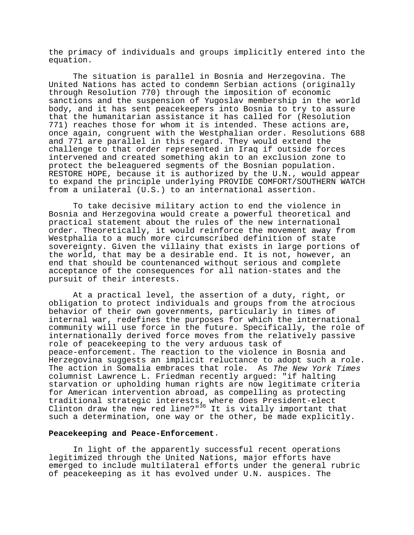the primacy of individuals and groups implicitly entered into the equation.

The situation is parallel in Bosnia and Herzegovina. The United Nations has acted to condemn Serbian actions (originally through Resolution 770) through the imposition of economic sanctions and the suspension of Yugoslav membership in the world body, and it has sent peacekeepers into Bosnia to try to assure that the humanitarian assistance it has called for (Resolution 771) reaches those for whom it is intended. These actions are, once again, congruent with the Westphalian order. Resolutions 688 and 771 are parallel in this regard. They would extend the challenge to that order represented in Iraq if outside forces intervened and created something akin to an exclusion zone to protect the beleaguered segments of the Bosnian population. RESTORE HOPE, because it is authorized by the U.N., would appear to expand the principle underlying PROVIDE COMFORT/SOUTHERN WATCH from a unilateral (U.S.) to an international assertion.

To take decisive military action to end the violence in Bosnia and Herzegovina would create a powerful theoretical and practical statement about the rules of the new international order. Theoretically, it would reinforce the movement away from Westphalia to a much more circumscribed definition of state sovereignty. Given the villainy that exists in large portions of the world, that may be a desirable end. It is not, however, an end that should be countenanced without serious and complete acceptance of the consequences for all nation-states and the pursuit of their interests.

At a practical level, the assertion of a duty, right, or obligation to protect individuals and groups from the atrocious behavior of their own governments, particularly in times of internal war, redefines the purposes for which the international community will use force in the future. Specifically, the role of internationally derived force moves from the relatively passive role of peacekeeping to the very arduous task of peace-enforcement. The reaction to the violence in Bosnia and Herzegovina suggests an implicit reluctance to adopt such a role. The action in Somalia embraces that role. As The New York Times columnist Lawrence L. Friedman recently argued: "if halting starvation or upholding human rights are now legitimate criteria for American intervention abroad, as compelling as protecting traditional strategic interests, where does President-elect Clinton draw the new red line?" $36$  It is vitally important that such a determination, one way or the other, be made explicitly.

### **Peacekeeping and Peace-Enforcement**.

In light of the apparently successful recent operations legitimized through the United Nations, major efforts have emerged to include multilateral efforts under the general rubric of peacekeeping as it has evolved under U.N. auspices. The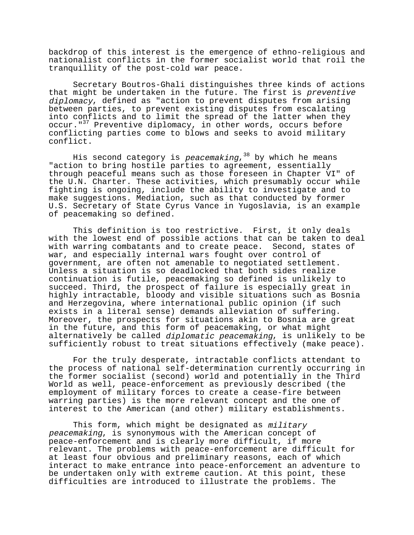backdrop of this interest is the emergence of ethno-religious and nationalist conflicts in the former socialist world that roil the tranquillity of the post-cold war peace.

Secretary Boutros-Ghali distinguishes three kinds of actions that might be undertaken in the future. The first is preventive diplomacy, defined as "action to prevent disputes from arising between parties, to prevent existing disputes from escalating into conflicts and to limit the spread of the latter when they occur."<sup>37</sup> Preventive diplomacy, in other words, occurs before conflicting parties come to blows and seeks to avoid military conflict.

His second category is peacemaking,  $38$  by which he means "action to bring hostile parties to agreement, essentially through peaceful means such as those foreseen in Chapter VI" of the U.N. Charter. These activities, which presumably occur while fighting is ongoing, include the ability to investigate and to make suggestions. Mediation, such as that conducted by former U.S. Secretary of State Cyrus Vance in Yugoslavia, is an example of peacemaking so defined.

This definition is too restrictive. First, it only deals with the lowest end of possible actions that can be taken to deal with warring combatants and to create peace. Second, states of war, and especially internal wars fought over control of government, are often not amenable to negotiated settlement. Unless a situation is so deadlocked that both sides realize continuation is futile, peacemaking so defined is unlikely to succeed. Third, the prospect of failure is especially great in highly intractable, bloody and visible situations such as Bosnia and Herzegovina, where international public opinion (if such exists in a literal sense) demands alleviation of suffering. Moreover, the prospects for situations akin to Bosnia are great in the future, and this form of peacemaking, or what might alternatively be called diplomatic peacemaking, is unlikely to be sufficiently robust to treat situations effectively (make peace).

For the truly desperate, intractable conflicts attendant to the process of national self-determination currently occurring in the former socialist (second) world and potentially in the Third World as well, peace-enforcement as previously described (the employment of military forces to create a cease-fire between warring parties) is the more relevant concept and the one of interest to the American (and other) military establishments.

This form, which might be designated as military peacemaking, is synonymous with the American concept of peace-enforcement and is clearly more difficult, if more relevant. The problems with peace-enforcement are difficult for at least four obvious and preliminary reasons, each of which interact to make entrance into peace-enforcement an adventure to be undertaken only with extreme caution. At this point, these difficulties are introduced to illustrate the problems. The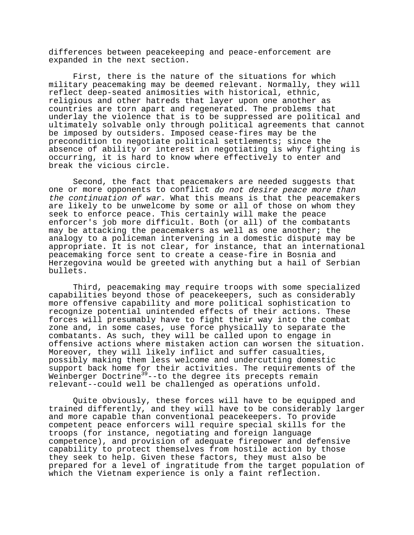differences between peacekeeping and peace-enforcement are expanded in the next section.

First, there is the nature of the situations for which military peacemaking may be deemed relevant. Normally, they will reflect deep-seated animosities with historical, ethnic, religious and other hatreds that layer upon one another as countries are torn apart and regenerated. The problems that underlay the violence that is to be suppressed are political and ultimately solvable only through political agreements that cannot be imposed by outsiders. Imposed cease-fires may be the precondition to negotiate political settlements; since the absence of ability or interest in negotiating is why fighting is occurring, it is hard to know where effectively to enter and break the vicious circle.

Second, the fact that peacemakers are needed suggests that one or more opponents to conflict do not desire peace more than the continuation of war. What this means is that the peacemakers are likely to be unwelcome by some or all of those on whom they seek to enforce peace. This certainly will make the peace enforcer's job more difficult. Both (or all) of the combatants may be attacking the peacemakers as well as one another; the analogy to a policeman intervening in a domestic dispute may be appropriate. It is not clear, for instance, that an international peacemaking force sent to create a cease-fire in Bosnia and Herzegovina would be greeted with anything but a hail of Serbian bullets.

Third, peacemaking may require troops with some specialized capabilities beyond those of peacekeepers, such as considerably more offensive capability and more political sophistication to recognize potential unintended effects of their actions. These forces will presumably have to fight their way into the combat zone and, in some cases, use force physically to separate the combatants. As such, they will be called upon to engage in offensive actions where mistaken action can worsen the situation. Moreover, they will likely inflict and suffer casualties, possibly making them less welcome and undercutting domestic support back home for their activities. The requirements of the Weinberger Doctrine<sup>39</sup>--to the degree its precepts remain relevant--could well be challenged as operations unfold.

Quite obviously, these forces will have to be equipped and trained differently, and they will have to be considerably larger and more capable than conventional peacekeepers. To provide competent peace enforcers will require special skills for the troops (for instance, negotiating and foreign language competence), and provision of adequate firepower and defensive capability to protect themselves from hostile action by those they seek to help. Given these factors, they must also be prepared for a level of ingratitude from the target population of which the Vietnam experience is only a faint reflection.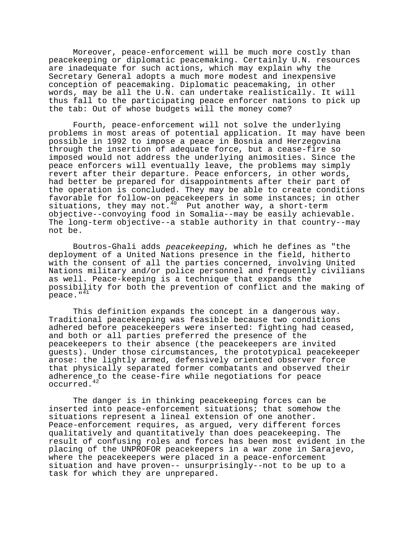Moreover, peace-enforcement will be much more costly than peacekeeping or diplomatic peacemaking. Certainly U.N. resources are inadequate for such actions, which may explain why the Secretary General adopts a much more modest and inexpensive conception of peacemaking. Diplomatic peacemaking, in other words, may be all the U.N. can undertake realistically. It will thus fall to the participating peace enforcer nations to pick up the tab: Out of whose budgets will the money come?

Fourth, peace-enforcement will not solve the underlying problems in most areas of potential application. It may have been possible in 1992 to impose a peace in Bosnia and Herzegovina through the insertion of adequate force, but a cease-fire so imposed would not address the underlying animosities. Since the peace enforcers will eventually leave, the problems may simply revert after their departure. Peace enforcers, in other words, had better be prepared for disappointments after their part of the operation is concluded. They may be able to create conditions favorable for follow-on peacekeepers in some instances; in other situations, they may not. $40$  Put another way, a short-term objective--convoying food in Somalia--may be easily achievable. The long-term objective--a stable authority in that country--may not be.

Boutros-Ghali adds peacekeeping, which he defines as "the deployment of a United Nations presence in the field, hitherto with the consent of all the parties concerned, involving United Nations military and/or police personnel and frequently civilians as well. Peace-keeping is a technique that expands the possibility for both the prevention of conflict and the making of peace."<sup>41</sup>

This definition expands the concept in a dangerous way. Traditional peacekeeping was feasible because two conditions adhered before peacekeepers were inserted: fighting had ceased, and both or all parties preferred the presence of the peacekeepers to their absence (the peacekeepers are invited guests). Under those circumstances, the prototypical peacekeeper arose: the lightly armed, defensively oriented observer force that physically separated former combatants and observed their adherence to the cease-fire while negotiations for peace occurred.42

The danger is in thinking peacekeeping forces can be inserted into peace-enforcement situations; that somehow the situations represent a lineal extension of one another. Peace-enforcement requires, as argued, very different forces qualitatively and quantitatively than does peacekeeping. The result of confusing roles and forces has been most evident in the placing of the UNPROFOR peacekeepers in a war zone in Sarajevo, where the peacekeepers were placed in a peace-enforcement situation and have proven-- unsurprisingly--not to be up to a task for which they are unprepared.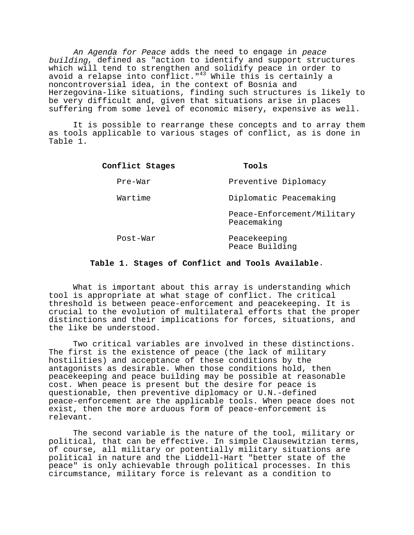An Agenda for Peace adds the need to engage in peace building, defined as "action to identify and support structures which will tend to strengthen and solidify peace in order to avoid a relapse into conflict." $43$  While this is certainly a noncontroversial idea, in the context of Bosnia and Herzegovina-like situations, finding such structures is likely to be very difficult and, given that situations arise in places suffering from some level of economic misery, expensive as well.

It is possible to rearrange these concepts and to array them as tools applicable to various stages of conflict, as is done in Table 1.

| Conflict Stages | Tools                                     |
|-----------------|-------------------------------------------|
| Pre-War         | Preventive Diplomacy                      |
| Wartime         | Diplomatic Peacemaking                    |
|                 | Peace-Enforcement/Military<br>Peacemaking |
| Post-War        | Peacekeeping<br>Peace Building            |

## **Table 1. Stages of Conflict and Tools Available**.

What is important about this array is understanding which tool is appropriate at what stage of conflict. The critical threshold is between peace-enforcement and peacekeeping. It is crucial to the evolution of multilateral efforts that the proper distinctions and their implications for forces, situations, and the like be understood.

Two critical variables are involved in these distinctions. The first is the existence of peace (the lack of military hostilities) and acceptance of these conditions by the antagonists as desirable. When those conditions hold, then peacekeeping and peace building may be possible at reasonable cost. When peace is present but the desire for peace is questionable, then preventive diplomacy or U.N.-defined peace-enforcement are the applicable tools. When peace does not exist, then the more arduous form of peace-enforcement is relevant.

The second variable is the nature of the tool, military or political, that can be effective. In simple Clausewitzian terms, of course, all military or potentially military situations are political in nature and the Liddell-Hart "better state of the peace" is only achievable through political processes. In this circumstance, military force is relevant as a condition to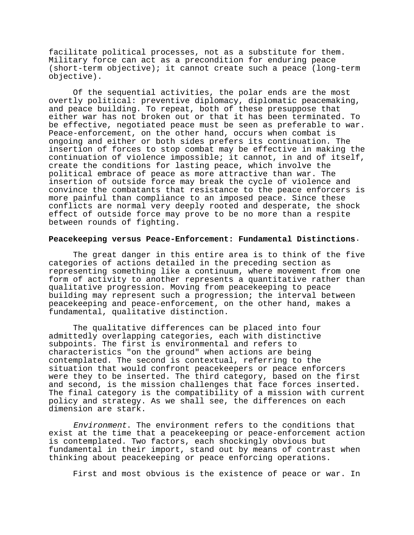facilitate political processes, not as a substitute for them. Military force can act as a precondition for enduring peace (short-term objective); it cannot create such a peace (long-term objective).

Of the sequential activities, the polar ends are the most overtly political: preventive diplomacy, diplomatic peacemaking, and peace building. To repeat, both of these presuppose that either war has not broken out or that it has been terminated. To be effective, negotiated peace must be seen as preferable to war. Peace-enforcement, on the other hand, occurs when combat is ongoing and either or both sides prefers its continuation. The insertion of forces to stop combat may be effective in making the continuation of violence impossible; it cannot, in and of itself, create the conditions for lasting peace, which involve the political embrace of peace as more attractive than war. The insertion of outside force may break the cycle of violence and convince the combatants that resistance to the peace enforcers is more painful than compliance to an imposed peace. Since these conflicts are normal very deeply rooted and desperate, the shock effect of outside force may prove to be no more than a respite between rounds of fighting.

## **Peacekeeping versus Peace-Enforcement: Fundamental Distinctions**.

The great danger in this entire area is to think of the five categories of actions detailed in the preceding section as representing something like a continuum, where movement from one form of activity to another represents a quantitative rather than qualitative progression. Moving from peacekeeping to peace building may represent such a progression; the interval between peacekeeping and peace-enforcement, on the other hand, makes a fundamental, qualitative distinction.

The qualitative differences can be placed into four admittedly overlapping categories, each with distinctive subpoints. The first is environmental and refers to characteristics "on the ground" when actions are being contemplated. The second is contextual, referring to the situation that would confront peacekeepers or peace enforcers were they to be inserted. The third category, based on the first and second, is the mission challenges that face forces inserted. The final category is the compatibility of a mission with current policy and strategy. As we shall see, the differences on each dimension are stark.

Environment. The environment refers to the conditions that exist at the time that a peacekeeping or peace-enforcement action is contemplated. Two factors, each shockingly obvious but fundamental in their import, stand out by means of contrast when thinking about peacekeeping or peace enforcing operations.

First and most obvious is the existence of peace or war. In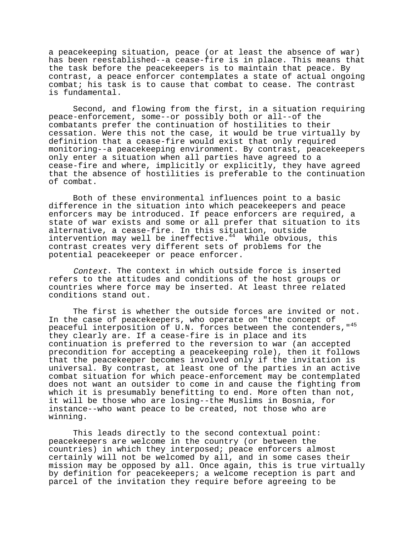a peacekeeping situation, peace (or at least the absence of war) has been reestablished--a cease-fire is in place. This means that the task before the peacekeepers is to maintain that peace. By contrast, a peace enforcer contemplates a state of actual ongoing combat; his task is to cause that combat to cease. The contrast is fundamental.

Second, and flowing from the first, in a situation requiring peace-enforcement, some--or possibly both or all--of the combatants prefer the continuation of hostilities to their cessation. Were this not the case, it would be true virtually by definition that a cease-fire would exist that only required monitoring--a peacekeeping environment. By contrast, peacekeepers only enter a situation when all parties have agreed to a cease-fire and where, implicitly or explicitly, they have agreed that the absence of hostilities is preferable to the continuation of combat.

Both of these environmental influences point to a basic difference in the situation into which peacekeepers and peace enforcers may be introduced. If peace enforcers are required, a state of war exists and some or all prefer that situation to its alternative, a cease-fire. In this situation, outside intervention may well be ineffective.<sup>44</sup> While obvious, this contrast creates very different sets of problems for the potential peacekeeper or peace enforcer.

Context. The context in which outside force is inserted refers to the attitudes and conditions of the host groups or countries where force may be inserted. At least three related conditions stand out.

The first is whether the outside forces are invited or not. In the case of peacekeepers, who operate on "the concept of peaceful interposition of U.N. forces between the contenders,"45 they clearly are. If a cease-fire is in place and its continuation is preferred to the reversion to war (an accepted precondition for accepting a peacekeeping role), then it follows that the peacekeeper becomes involved only if the invitation is universal. By contrast, at least one of the parties in an active combat situation for which peace-enforcement may be contemplated does not want an outsider to come in and cause the fighting from which it is presumably benefitting to end. More often than not, it will be those who are losing--the Muslims in Bosnia, for instance--who want peace to be created, not those who are winning.

This leads directly to the second contextual point: peacekeepers are welcome in the country (or between the countries) in which they interposed; peace enforcers almost certainly will not be welcomed by all, and in some cases their mission may be opposed by all. Once again, this is true virtually by definition for peacekeepers; a welcome reception is part and parcel of the invitation they require before agreeing to be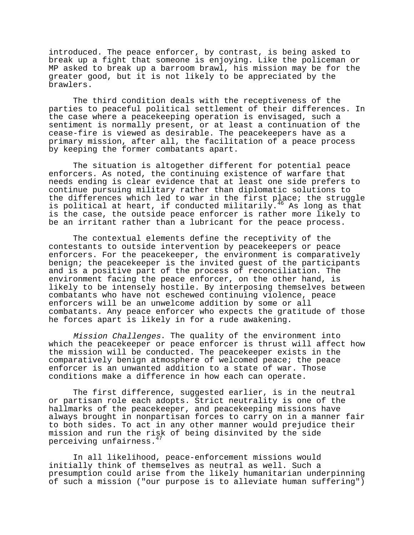introduced. The peace enforcer, by contrast, is being asked to break up a fight that someone is enjoying. Like the policeman or MP asked to break up a barroom brawl, his mission may be for the greater good, but it is not likely to be appreciated by the brawlers.

The third condition deals with the receptiveness of the parties to peaceful political settlement of their differences. In the case where a peacekeeping operation is envisaged, such a sentiment is normally present, or at least a continuation of the cease-fire is viewed as desirable. The peacekeepers have as a primary mission, after all, the facilitation of a peace process by keeping the former combatants apart.

The situation is altogether different for potential peace enforcers. As noted, the continuing existence of warfare that needs ending is clear evidence that at least one side prefers to continue pursuing military rather than diplomatic solutions to the differences which led to war in the first place; the struggle is political at heart, if conducted militarily.<sup>46</sup> As long as that is the case, the outside peace enforcer is rather more likely to be an irritant rather than a lubricant for the peace process.

The contextual elements define the receptivity of the contestants to outside intervention by peacekeepers or peace enforcers. For the peacekeeper, the environment is comparatively benign; the peacekeeper is the invited guest of the participants and is a positive part of the process of reconciliation. The environment facing the peace enforcer, on the other hand, is likely to be intensely hostile. By interposing themselves between combatants who have not eschewed continuing violence, peace enforcers will be an unwelcome addition by some or all combatants. Any peace enforcer who expects the gratitude of those he forces apart is likely in for a rude awakening.

Mission Challenges. The quality of the environment into which the peacekeeper or peace enforcer is thrust will affect how the mission will be conducted. The peacekeeper exists in the comparatively benign atmosphere of welcomed peace; the peace enforcer is an unwanted addition to a state of war. Those conditions make a difference in how each can operate.

The first difference, suggested earlier, is in the neutral or partisan role each adopts. Strict neutrality is one of the hallmarks of the peacekeeper, and peacekeeping missions have always brought in nonpartisan forces to carry on in a manner fair to both sides. To act in any other manner would prejudice their mission and run the risk of being disinvited by the side perceiving unfairness.<sup>4</sup>

In all likelihood, peace-enforcement missions would initially think of themselves as neutral as well. Such a presumption could arise from the likely humanitarian underpinning of such a mission ("our purpose is to alleviate human suffering")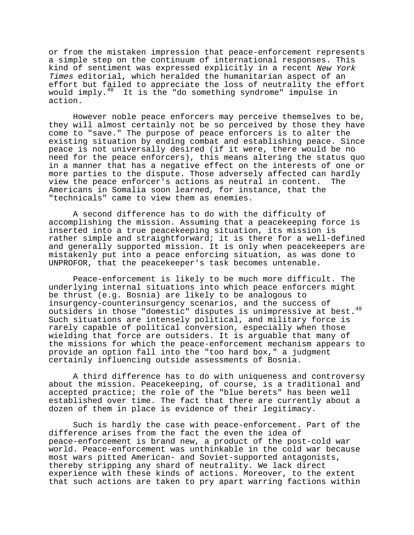or from the mistaken impression that peace-enforcement represents a simple step on the continuum of international responses. This kind of sentiment was expressed explicitly in a recent New York Times editorial, which heralded the humanitarian aspect of an effort but failed to appreciate the loss of neutrality the effort would imply.48 It is the "do something syndrome" impulse in action.

However noble peace enforcers may perceive themselves to be, they will almost certainly not be so perceived by those they have come to "save." The purpose of peace enforcers is to alter the existing situation by ending combat and establishing peace. Since peace is not universally desired (if it were, there would be no need for the peace enforcers), this means altering the status quo in a manner that has a negative effect on the interests of one or more parties to the dispute. Those adversely affected can hardly view the peace enforcer's actions as neutral in content. The Americans in Somalia soon learned, for instance, that the "technicals" came to view them as enemies.

A second difference has to do with the difficulty of accomplishing the mission. Assuming that a peacekeeping force is inserted into a true peacekeeping situation, its mission is rather simple and straightforward; it is there for a well-defined and generally supported mission. It is only when peacekeepers are mistakenly put into a peace enforcing situation, as was done to UNPROFOR, that the peacekeeper's task becomes untenable.

Peace-enforcement is likely to be much more difficult. The underlying internal situations into which peace enforcers might be thrust (e.g. Bosnia) are likely to be analogous to insurgency-counterinsurgency scenarios, and the success of outsiders in those "domestic" disputes is unimpressive at best.<sup>49</sup> Such situations are intensely political, and military force is rarely capable of political conversion, especially when those wielding that force are outsiders. It is arguable that many of the missions for which the peace-enforcement mechanism appears to provide an option fall into the "too hard box," a judgment certainly influencing outside assessments of Bosnia.

A third difference has to do with uniqueness and controversy about the mission. Peacekeeping, of course, is a traditional and accepted practice; the role of the "blue berets" has been well established over time. The fact that there are currently about a dozen of them in place is evidence of their legitimacy.

Such is hardly the case with peace-enforcement. Part of the difference arises from the fact the even the idea of peace-enforcement is brand new, a product of the post-cold war world. Peace-enforcement was unthinkable in the cold war because most wars pitted American- and Soviet-supported antagonists, thereby stripping any shard of neutrality. We lack direct experience with these kinds of actions. Moreover, to the extent that such actions are taken to pry apart warring factions within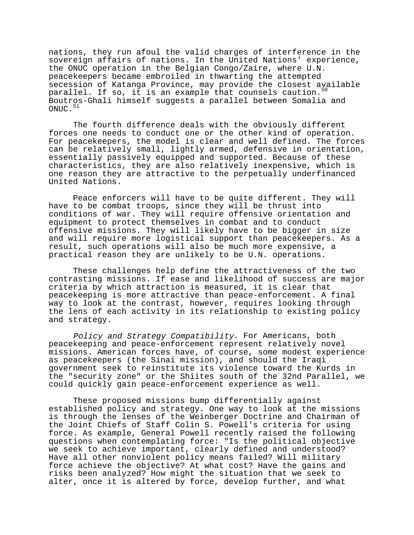nations, they run afoul the valid charges of interference in the sovereign affairs of nations. In the United Nations' experience, the ONUC operation in the Belgian Congo/Zaire, where U.N. peacekeepers became embroiled in thwarting the attempted secession of Katanga Province, may provide the closest available parallel. If so, it is an example that counsels caution.<sup>50</sup> Boutros-Ghali himself suggests a parallel between Somalia and  $ONUC.$ <sup>51</sup>

The fourth difference deals with the obviously different forces one needs to conduct one or the other kind of operation. For peacekeepers, the model is clear and well defined. The forces can be relatively small, lightly armed, defensive in orientation, essentially passively equipped and supported. Because of these characteristics, they are also relatively inexpensive, which is one reason they are attractive to the perpetually underfinanced United Nations.

Peace enforcers will have to be quite different. They will have to be combat troops, since they will be thrust into conditions of war. They will require offensive orientation and equipment to protect themselves in combat and to conduct offensive missions. They will likely have to be bigger in size and will require more logistical support than peacekeepers. As a result, such operations will also be much more expensive, a practical reason they are unlikely to be U.N. operations.

These challenges help define the attractiveness of the two contrasting missions. If ease and likelihood of success are major criteria by which attraction is measured, it is clear that peacekeeping is more attractive than peace-enforcement. A final way to look at the contrast, however, requires looking through the lens of each activity in its relationship to existing policy and strategy.

Policy and Strategy Compatibility. For Americans, both peacekeeping and peace-enforcement represent relatively novel missions. American forces have, of course, some modest experience as peacekeepers (the Sinai mission), and should the Iraqi government seek to reinstitute its violence toward the Kurds in the "security zone" or the Shiites south of the 32nd Parallel, we could quickly gain peace-enforcement experience as well.

These proposed missions bump differentially against established policy and strategy. One way to look at the missions is through the lenses of the Weinberger Doctrine and Chairman of the Joint Chiefs of Staff Colin S. Powell's criteria for using force. As example, General Powell recently raised the following questions when contemplating force: "Is the political objective we seek to achieve important, clearly defined and understood? Have all other nonviolent policy means failed? Will military force achieve the objective? At what cost? Have the gains and risks been analyzed? How might the situation that we seek to alter, once it is altered by force, develop further, and what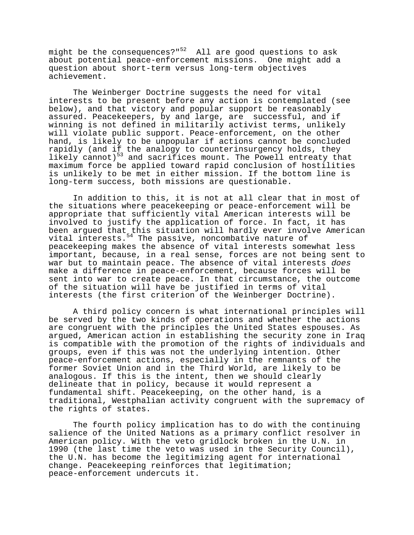might be the consequences?" $52$  All are good questions to ask about potential peace-enforcement missions. One might add a question about short-term versus long-term objectives achievement.

The Weinberger Doctrine suggests the need for vital interests to be present before any action is contemplated (see below), and that victory and popular support be reasonably assured. Peacekeepers, by and large, are successful, and if winning is not defined in militarily activist terms, unlikely will violate public support. Peace-enforcement, on the other hand, is likely to be unpopular if actions cannot be concluded rapidly (and if the analogy to counterinsurgency holds, they likely cannot)<sup>53</sup> and sacrifices mount. The Powell entreaty that maximum force be applied toward rapid conclusion of hostilities is unlikely to be met in either mission. If the bottom line is long-term success, both missions are questionable.

In addition to this, it is not at all clear that in most of the situations where peacekeeping or peace-enforcement will be appropriate that sufficiently vital American interests will be involved to justify the application of force. In fact, it has been argued that this situation will hardly ever involve American vital interests. $54$  The passive, noncombative nature of peacekeeping makes the absence of vital interests somewhat less important, because, in a real sense, forces are not being sent to war but to maintain peace. The absence of vital interests does make a difference in peace-enforcement, because forces will be sent into war to create peace. In that circumstance, the outcome of the situation will have be justified in terms of vital interests (the first criterion of the Weinberger Doctrine).

A third policy concern is what international principles will be served by the two kinds of operations and whether the actions are congruent with the principles the United States espouses. As argued, American action in establishing the security zone in Iraq is compatible with the promotion of the rights of individuals and groups, even if this was not the underlying intention. Other peace-enforcement actions, especially in the remnants of the former Soviet Union and in the Third World, are likely to be analogous. If this is the intent, then we should clearly delineate that in policy, because it would represent a fundamental shift. Peacekeeping, on the other hand, is a traditional, Westphalian activity congruent with the supremacy of the rights of states.

The fourth policy implication has to do with the continuing salience of the United Nations as a primary conflict resolver in American policy. With the veto gridlock broken in the U.N. in 1990 (the last time the veto was used in the Security Council), the U.N. has become the legitimizing agent for international change. Peacekeeping reinforces that legitimation; peace-enforcement undercuts it.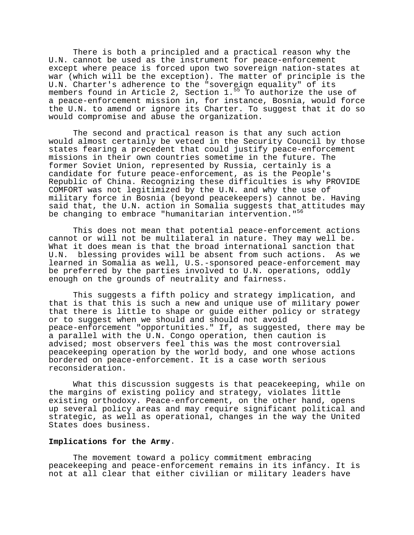There is both a principled and a practical reason why the U.N. cannot be used as the instrument for peace-enforcement except where peace is forced upon two sovereign nation-states at war (which will be the exception). The matter of principle is the U.N. Charter's adherence to the "sovereign equality" of its members found in Article 2, Section  $1.^{55}$  To authorize the use of a peace-enforcement mission in, for instance, Bosnia, would force the U.N. to amend or ignore its Charter. To suggest that it do so would compromise and abuse the organization.

The second and practical reason is that any such action would almost certainly be vetoed in the Security Council by those states fearing a precedent that could justify peace-enforcement missions in their own countries sometime in the future. The former Soviet Union, represented by Russia, certainly is a candidate for future peace-enforcement, as is the People's Republic of China. Recognizing these difficulties is why PROVIDE COMFORT was not legitimized by the U.N. and why the use of military force in Bosnia (beyond peacekeepers) cannot be. Having said that, the U.N. action in Somalia suggests that attitudes may be changing to embrace "humanitarian intervention."<sup>56</sup>

This does not mean that potential peace-enforcement actions cannot or will not be multilateral in nature. They may well be. What it does mean is that the broad international sanction that U.N. blessing provides will be absent from such actions. As we learned in Somalia as well, U.S.-sponsored peace-enforcement may be preferred by the parties involved to U.N. operations, oddly enough on the grounds of neutrality and fairness.

This suggests a fifth policy and strategy implication, and that is that this is such a new and unique use of military power that there is little to shape or guide either policy or strategy or to suggest when we should and should not avoid peace-enforcement "opportunities." If, as suggested, there may be a parallel with the U.N. Congo operation, then caution is advised; most observers feel this was the most controversial peacekeeping operation by the world body, and one whose actions bordered on peace-enforcement. It is a case worth serious reconsideration.

What this discussion suggests is that peacekeeping, while on the margins of existing policy and strategy, violates little existing orthodoxy. Peace-enforcement, on the other hand, opens up several policy areas and may require significant political and strategic, as well as operational, changes in the way the United States does business.

## **Implications for the Army**.

The movement toward a policy commitment embracing peacekeeping and peace-enforcement remains in its infancy. It is not at all clear that either civilian or military leaders have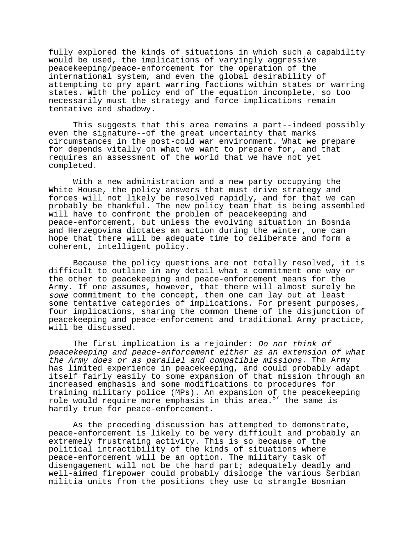fully explored the kinds of situations in which such a capability would be used, the implications of varyingly aggressive peacekeeping/peace-enforcement for the operation of the international system, and even the global desirability of attempting to pry apart warring factions within states or warring states. With the policy end of the equation incomplete, so too necessarily must the strategy and force implications remain tentative and shadowy.

This suggests that this area remains a part--indeed possibly even the signature--of the great uncertainty that marks circumstances in the post-cold war environment. What we prepare for depends vitally on what we want to prepare for, and that requires an assessment of the world that we have not yet completed.

With a new administration and a new party occupying the White House, the policy answers that must drive strategy and forces will not likely be resolved rapidly, and for that we can probably be thankful. The new policy team that is being assembled will have to confront the problem of peacekeeping and peace-enforcement, but unless the evolving situation in Bosnia and Herzegovina dictates an action during the winter, one can hope that there will be adequate time to deliberate and form a coherent, intelligent policy.

Because the policy questions are not totally resolved, it is difficult to outline in any detail what a commitment one way or the other to peacekeeping and peace-enforcement means for the Army. If one assumes, however, that there will almost surely be some commitment to the concept, then one can lay out at least some tentative categories of implications. For present purposes, four implications, sharing the common theme of the disjunction of peacekeeping and peace-enforcement and traditional Army practice, will be discussed.

The first implication is a rejoinder: Do not think of peacekeeping and peace-enforcement either as an extension of what the Army does or as parallel and compatible missions. The Army has limited experience in peacekeeping, and could probably adapt itself fairly easily to some expansion of that mission through an increased emphasis and some modifications to procedures for training military police (MPs). An expansion of the peacekeeping role would require more emphasis in this area.<sup>57</sup> The same is hardly true for peace-enforcement.

As the preceding discussion has attempted to demonstrate, peace-enforcement is likely to be very difficult and probably an extremely frustrating activity. This is so because of the political intractibility of the kinds of situations where peace-enforcement will be an option. The military task of disengagement will not be the hard part; adequately deadly and well-aimed firepower could probably dislodge the various Serbian militia units from the positions they use to strangle Bosnian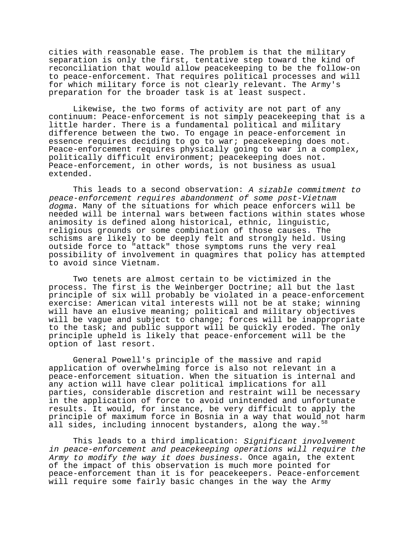cities with reasonable ease. The problem is that the military separation is only the first, tentative step toward the kind of reconciliation that would allow peacekeeping to be the follow-on to peace-enforcement. That requires political processes and will for which military force is not clearly relevant. The Army's preparation for the broader task is at least suspect.

Likewise, the two forms of activity are not part of any continuum: Peace-enforcement is not simply peacekeeping that is a little harder. There is a fundamental political and military difference between the two. To engage in peace-enforcement in essence requires deciding to go to war; peacekeeping does not. Peace-enforcement requires physically going to war in a complex, politically difficult environment; peacekeeping does not. Peace-enforcement, in other words, is not business as usual extended.

This leads to a second observation: A sizable commitment to peace-enforcement requires abandonment of some post-Vietnam dogma. Many of the situations for which peace enforcers will be needed will be internal wars between factions within states whose animosity is defined along historical, ethnic, linguistic, religious grounds or some combination of those causes. The schisms are likely to be deeply felt and strongly held. Using outside force to "attack" those symptoms runs the very real possibility of involvement in quagmires that policy has attempted to avoid since Vietnam.

Two tenets are almost certain to be victimized in the process. The first is the Weinberger Doctrine; all but the last principle of six will probably be violated in a peace-enforcement exercise: American vital interests will not be at stake; winning will have an elusive meaning; political and military objectives will be vague and subject to change; forces will be inappropriate to the task; and public support will be quickly eroded. The only principle upheld is likely that peace-enforcement will be the option of last resort.

General Powell's principle of the massive and rapid application of overwhelming force is also not relevant in a peace-enforcement situation. When the situation is internal and any action will have clear political implications for all parties, considerable discretion and restraint will be necessary in the application of force to avoid unintended and unfortunate results. It would, for instance, be very difficult to apply the principle of maximum force in Bosnia in a way that would not harm all sides, including innocent bystanders, along the way.<sup>5</sup>

This leads to a third implication: Significant involvement in peace-enforcement and peacekeeping operations will require the Army to modify the way it does business. Once again, the extent of the impact of this observation is much more pointed for peace-enforcement than it is for peacekeepers. Peace-enforcement will require some fairly basic changes in the way the Army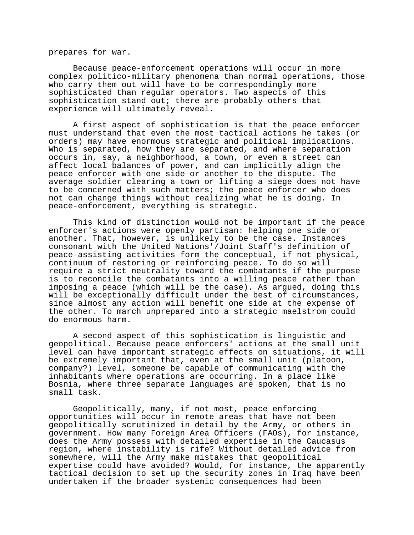prepares for war.

Because peace-enforcement operations will occur in more complex politico-military phenomena than normal operations, those who carry them out will have to be correspondingly more sophisticated than regular operators. Two aspects of this sophistication stand out; there are probably others that experience will ultimately reveal.

A first aspect of sophistication is that the peace enforcer must understand that even the most tactical actions he takes (or orders) may have enormous strategic and political implications. Who is separated, how they are separated, and where separation occurs in, say, a neighborhood, a town, or even a street can affect local balances of power, and can implicitly align the peace enforcer with one side or another to the dispute. The average soldier clearing a town or lifting a siege does not have to be concerned with such matters; the peace enforcer who does not can change things without realizing what he is doing. In peace-enforcement, everything is strategic.

This kind of distinction would not be important if the peace enforcer's actions were openly partisan: helping one side or another. That, however, is unlikely to be the case. Instances consonant with the United Nations'/Joint Staff's definition of peace-assisting activities form the conceptual, if not physical, continuum of restoring or reinforcing peace. To do so will require a strict neutrality toward the combatants if the purpose is to reconcile the combatants into a willing peace rather than imposing a peace (which will be the case). As argued, doing this will be exceptionally difficult under the best of circumstances, since almost any action will benefit one side at the expense of the other. To march unprepared into a strategic maelstrom could do enormous harm.

A second aspect of this sophistication is linguistic and geopolitical. Because peace enforcers' actions at the small unit level can have important strategic effects on situations, it will be extremely important that, even at the small unit (platoon, company?) level, someone be capable of communicating with the inhabitants where operations are occurring. In a place like Bosnia, where three separate languages are spoken, that is no small task.

Geopolitically, many, if not most, peace enforcing opportunities will occur in remote areas that have not been geopolitically scrutinized in detail by the Army, or others in government. How many Foreign Area Officers (FAOs), for instance, does the Army possess with detailed expertise in the Caucasus region, where instability is rife? Without detailed advice from somewhere, will the Army make mistakes that geopolitical expertise could have avoided? Would, for instance, the apparently tactical decision to set up the security zones in Iraq have been undertaken if the broader systemic consequences had been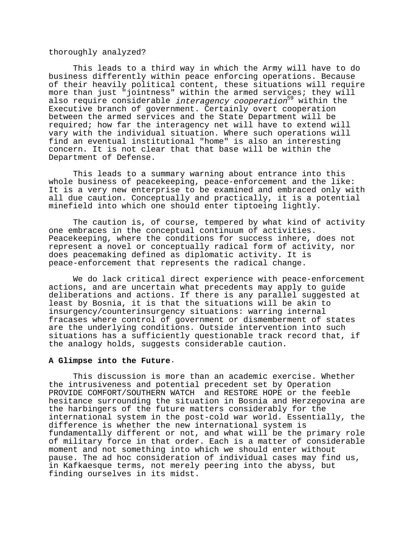## thoroughly analyzed?

This leads to a third way in which the Army will have to do business differently within peace enforcing operations. Because of their heavily political content, these situations will require more than just "jointness" within the armed services; they will also require considerable *interagency cooperation*<sup>59</sup> within the Executive branch of government. Certainly overt cooperation between the armed services and the State Department will be required; how far the interagency net will have to extend will vary with the individual situation. Where such operations will find an eventual institutional "home" is also an interesting concern. It is not clear that that base will be within the Department of Defense.

This leads to a summary warning about entrance into this whole business of peacekeeping, peace-enforcement and the like: It is a very new enterprise to be examined and embraced only with all due caution. Conceptually and practically, it is a potential minefield into which one should enter tiptoeing lightly.

The caution is, of course, tempered by what kind of activity one embraces in the conceptual continuum of activities. Peacekeeping, where the conditions for success inhere, does not represent a novel or conceptually radical form of activity, nor does peacemaking defined as diplomatic activity. It is peace-enforcement that represents the radical change.

We do lack critical direct experience with peace-enforcement actions, and are uncertain what precedents may apply to guide deliberations and actions. If there is any parallel suggested at least by Bosnia, it is that the situations will be akin to insurgency/counterinsurgency situations: warring internal fracases where control of government or dismemberment of states are the underlying conditions. Outside intervention into such situations has a sufficiently questionable track record that, if the analogy holds, suggests considerable caution.

### **A Glimpse into the Future**.

This discussion is more than an academic exercise. Whether the intrusiveness and potential precedent set by Operation PROVIDE COMFORT/SOUTHERN WATCH and RESTORE HOPE or the feeble hesitance surrounding the situation in Bosnia and Herzegovina are the harbingers of the future matters considerably for the international system in the post-cold war world. Essentially, the difference is whether the new international system is fundamentally different or not, and what will be the primary role of military force in that order. Each is a matter of considerable moment and not something into which we should enter without pause. The ad hoc consideration of individual cases may find us, in Kafkaesque terms, not merely peering into the abyss, but finding ourselves in its midst.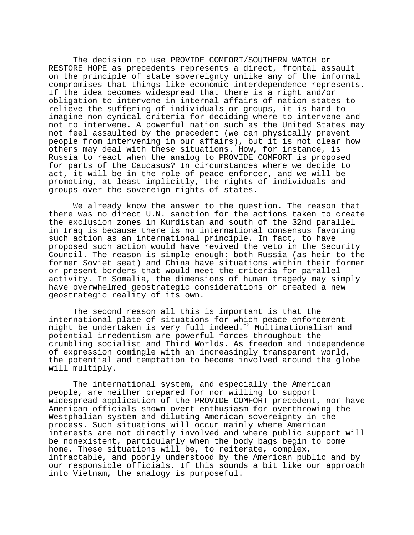The decision to use PROVIDE COMFORT/SOUTHERN WATCH or RESTORE HOPE as precedents represents a direct, frontal assault on the principle of state sovereignty unlike any of the informal compromises that things like economic interdependence represents. If the idea becomes widespread that there is a right and/or obligation to intervene in internal affairs of nation-states to relieve the suffering of individuals or groups, it is hard to imagine non-cynical criteria for deciding where to intervene and not to intervene. A powerful nation such as the United States may not feel assaulted by the precedent (we can physically prevent people from intervening in our affairs), but it is not clear how others may deal with these situations. How, for instance, is Russia to react when the analog to PROVIDE COMFORT is proposed for parts of the Caucasus? In circumstances where we decide to act, it will be in the role of peace enforcer, and we will be promoting, at least implicitly, the rights of individuals and groups over the sovereign rights of states.

We already know the answer to the question. The reason that there was no direct U.N. sanction for the actions taken to create the exclusion zones in Kurdistan and south of the 32nd parallel in Iraq is because there is no international consensus favoring such action as an international principle. In fact, to have proposed such action would have revived the veto in the Security Council. The reason is simple enough: both Russia (as heir to the former Soviet seat) and China have situations within their former or present borders that would meet the criteria for parallel activity. In Somalia, the dimensions of human tragedy may simply have overwhelmed geostrategic considerations or created a new geostrategic reality of its own.

The second reason all this is important is that the international plate of situations for which peace-enforcement might be undertaken is very full indeed.<sup>60</sup> Multinationalism and potential irredentism are powerful forces throughout the crumbling socialist and Third Worlds. As freedom and independence of expression comingle with an increasingly transparent world, the potential and temptation to become involved around the globe will multiply.

The international system, and especially the American people, are neither prepared for nor willing to support widespread application of the PROVIDE COMFORT precedent, nor have American officials shown overt enthusiasm for overthrowing the Westphalian system and diluting American sovereignty in the process. Such situations will occur mainly where American interests are not directly involved and where public support will be nonexistent, particularly when the body bags begin to come home. These situations will be, to reiterate, complex, intractable, and poorly understood by the American public and by our responsible officials. If this sounds a bit like our approach into Vietnam, the analogy is purposeful.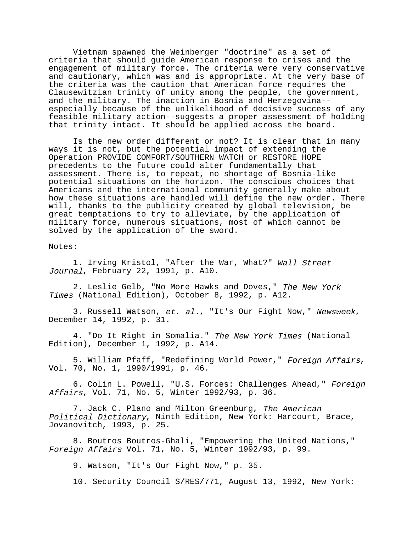Vietnam spawned the Weinberger "doctrine" as a set of criteria that should guide American response to crises and the engagement of military force. The criteria were very conservative and cautionary, which was and is appropriate. At the very base of the criteria was the caution that American force requires the Clausewitzian trinity of unity among the people, the government, and the military. The inaction in Bosnia and Herzegovina- especially because of the unlikelihood of decisive success of any feasible military action--suggests a proper assessment of holding that trinity intact. It should be applied across the board.

Is the new order different or not? It is clear that in many ways it is not, but the potential impact of extending the Operation PROVIDE COMFORT/SOUTHERN WATCH or RESTORE HOPE precedents to the future could alter fundamentally that assessment. There is, to repeat, no shortage of Bosnia-like potential situations on the horizon. The conscious choices that Americans and the international community generally make about how these situations are handled will define the new order. There will, thanks to the publicity created by global television, be great temptations to try to alleviate, by the application of military force, numerous situations, most of which cannot be solved by the application of the sword.

Notes:

1. Irving Kristol, "After the War, What?" Wall Street Journal, February 22, 1991, p. A10.

2. Leslie Gelb, "No More Hawks and Doves," The New York Times (National Edition), October 8, 1992, p. A12.

3. Russell Watson, et. al., "It's Our Fight Now," Newsweek, December 14, 1992, p. 31.

4. "Do It Right in Somalia." The New York Times (National Edition), December 1, 1992, p. A14.

5. William Pfaff, "Redefining World Power," Foreign Affairs, Vol. 70, No. 1, 1990/1991, p. 46.

6. Colin L. Powell, "U.S. Forces: Challenges Ahead," Foreign Affairs, Vol. 71, No. 5, Winter 1992/93, p. 36.

7. Jack C. Plano and Milton Greenburg, The American Political Dictionary, Ninth Edition, New York: Harcourt, Brace, Jovanovitch, 1993, p. 25.

8. Boutros Boutros-Ghali, "Empowering the United Nations," Foreign Affairs Vol. 71, No. 5, Winter 1992/93, p. 99.

9. Watson, "It's Our Fight Now," p. 35.

10. Security Council S/RES/771, August 13, 1992, New York: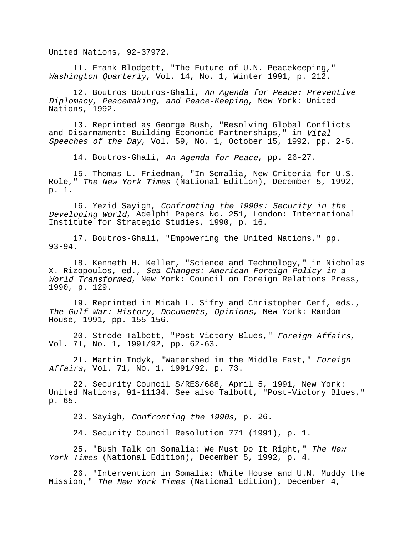United Nations, 92-37972.

11. Frank Blodgett, "The Future of U.N. Peacekeeping," Washington Quarterly, Vol. 14, No. 1, Winter 1991, p. 212.

12. Boutros Boutros-Ghali, An Agenda for Peace: Preventive Diplomacy, Peacemaking, and Peace-Keeping, New York: United Nations, 1992.

13. Reprinted as George Bush, "Resolving Global Conflicts and Disarmament: Building Economic Partnerships," in Vital Speeches of the Day, Vol. 59, No. 1, October 15, 1992, pp. 2-5.

14. Boutros-Ghali, An Agenda for Peace, pp. 26-27.

15. Thomas L. Friedman, "In Somalia, New Criteria for U.S. Role," The New York Times (National Edition), December 5, 1992, p. 1.

16. Yezid Sayigh, Confronting the 1990s: Security in the Developing World, Adelphi Papers No. 251, London: International Institute for Strategic Studies, 1990, p. 16.

17. Boutros-Ghali, "Empowering the United Nations," pp. 93-94.

18. Kenneth H. Keller, "Science and Technology," in Nicholas X. Rizopoulos, ed., Sea Changes: American Foreign Policy in a World Transformed, New York: Council on Foreign Relations Press, 1990, p. 129.

19. Reprinted in Micah L. Sifry and Christopher Cerf, eds., The Gulf War: History, Documents, Opinions, New York: Random House, 1991, pp. 155-156.

20. Strode Talbott, "Post-Victory Blues," Foreign Affairs, Vol. 71, No. 1, 1991/92, pp. 62-63.

21. Martin Indyk, "Watershed in the Middle East," Foreign Affairs, Vol. 71, No. 1, 1991/92, p. 73.

22. Security Council S/RES/688, April 5, 1991, New York: United Nations, 91-11134. See also Talbott, "Post-Victory Blues," p. 65.

23. Sayigh, Confronting the 1990s, p. 26.

24. Security Council Resolution 771 (1991), p. 1.

25. "Bush Talk on Somalia: We Must Do It Right," The New York Times (National Edition), December 5, 1992, p. 4.

26. "Intervention in Somalia: White House and U.N. Muddy the Mission," The New York Times (National Edition), December 4,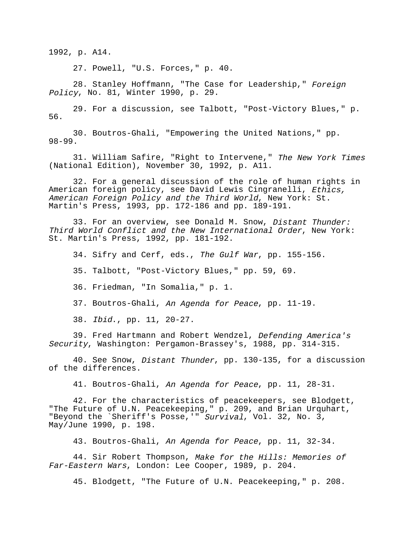1992, p. A14.

27. Powell, "U.S. Forces," p. 40.

28. Stanley Hoffmann, "The Case for Leadership," Foreign Policy, No. 81, Winter 1990, p. 29.

29. For a discussion, see Talbott, "Post-Victory Blues," p. 56.

30. Boutros-Ghali, "Empowering the United Nations," pp. 98-99.

31. William Safire, "Right to Intervene," The New York Times (National Edition), November 30, 1992, p. A11.

32. For a general discussion of the role of human rights in American foreign policy, see David Lewis Cingranelli, Ethics, American Foreign Policy and the Third World, New York: St. Martin's Press, 1993, pp. 172-186 and pp. 189-191.

33. For an overview, see Donald M. Snow, Distant Thunder: Third World Conflict and the New International Order, New York: St. Martin's Press, 1992, pp. 181-192.

34. Sifry and Cerf, eds., The Gulf War, pp. 155-156.

35. Talbott, "Post-Victory Blues," pp. 59, 69.

36. Friedman, "In Somalia," p. 1.

37. Boutros-Ghali, An Agenda for Peace, pp. 11-19.

38. Ibid., pp. 11, 20-27.

39. Fred Hartmann and Robert Wendzel, Defending America's Security, Washington: Pergamon-Brassey's, 1988, pp. 314-315.

40. See Snow, Distant Thunder, pp. 130-135, for a discussion of the differences.

41. Boutros-Ghali, An Agenda for Peace, pp. 11, 28-31.

42. For the characteristics of peacekeepers, see Blodgett, "The Future of U.N. Peacekeeping," p. 209, and Brian Urquhart, "Beyond the `Sheriff's Posse,'" Survival, Vol. 32, No. 3, May/June 1990, p. 198.

43. Boutros-Ghali, An Agenda for Peace, pp. 11, 32-34.

44. Sir Robert Thompson, Make for the Hills: Memories of Far-Eastern Wars, London: Lee Cooper, 1989, p. 204.

45. Blodgett, "The Future of U.N. Peacekeeping," p. 208.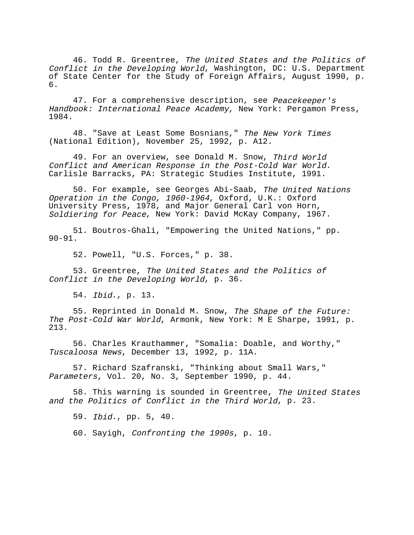46. Todd R. Greentree, The United States and the Politics of Conflict in the Developing World, Washington, DC: U.S. Department of State Center for the Study of Foreign Affairs, August 1990, p. 6.

47. For a comprehensive description, see Peacekeeper's Handbook: International Peace Academy, New York: Pergamon Press, 1984.

48. "Save at Least Some Bosnians," The New York Times (National Edition), November 25, 1992, p. A12.

49. For an overview, see Donald M. Snow, Third World Conflict and American Response in the Post-Cold War World. Carlisle Barracks, PA: Strategic Studies Institute, 1991.

50. For example, see Georges Abi-Saab, The United Nations Operation in the Congo, 1960-1964, Oxford, U.K.: Oxford University Press, 1978, and Major General Carl von Horn, Soldiering for Peace, New York: David McKay Company, 1967.

51. Boutros-Ghali, "Empowering the United Nations," pp. 90-91.

52. Powell, "U.S. Forces," p. 38.

53. Greentree, The United States and the Politics of Conflict in the Developing World, p. 36.

54. Ibid., p. 13.

55. Reprinted in Donald M. Snow, The Shape of the Future: The Post-Cold War World, Armonk, New York: M E Sharpe, 1991, p. 213.

56. Charles Krauthammer, "Somalia: Doable, and Worthy," Tuscaloosa News, December 13, 1992, p. 11A.

57. Richard Szafranski, "Thinking about Small Wars," Parameters, Vol. 20, No. 3, September 1990, p. 44.

58. This warning is sounded in Greentree, The United States and the Politics of Conflict in the Third World, p. 23.

59. Ibid., pp. 5, 40.

60. Sayigh, Confronting the 1990s, p. 10.